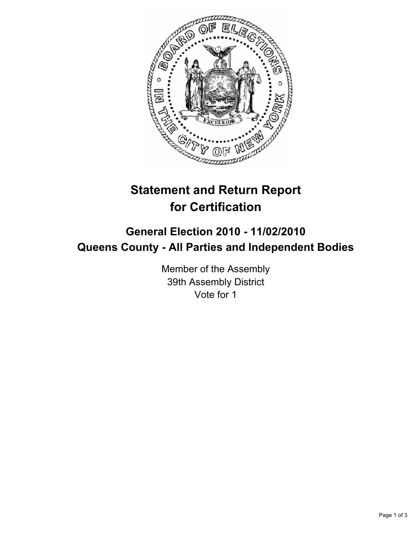

## **Statement and Return Report for Certification**

## **General Election 2010 - 11/02/2010 Queens County - All Parties and Independent Bodies**

Member of the Assembly 39th Assembly District Vote for 1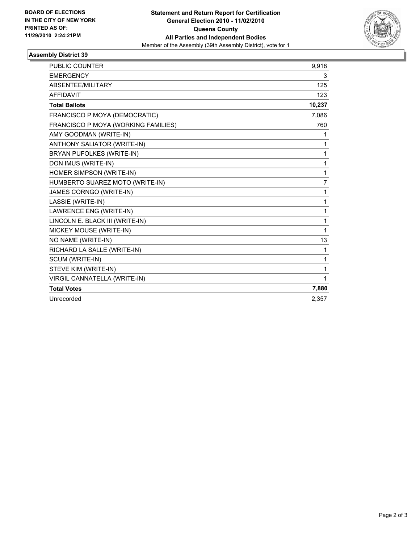

## **Assembly District 39**

| <b>PUBLIC COUNTER</b>               | 9,918          |
|-------------------------------------|----------------|
| <b>EMERGENCY</b>                    | 3              |
| ABSENTEE/MILITARY                   | 125            |
| <b>AFFIDAVIT</b>                    | 123            |
| <b>Total Ballots</b>                | 10,237         |
| FRANCISCO P MOYA (DEMOCRATIC)       | 7,086          |
| FRANCISCO P MOYA (WORKING FAMILIES) | 760            |
| AMY GOODMAN (WRITE-IN)              | 1              |
| <b>ANTHONY SALIATOR (WRITE-IN)</b>  | $\mathbf 1$    |
| BRYAN PUFOLKES (WRITE-IN)           | $\mathbf{1}$   |
| DON IMUS (WRITE-IN)                 | $\mathbf 1$    |
| HOMER SIMPSON (WRITE-IN)            | $\mathbf{1}$   |
| HUMBERTO SUAREZ MOTO (WRITE-IN)     | $\overline{7}$ |
| <b>JAMES CORNGO (WRITE-IN)</b>      | $\mathbf{1}$   |
| LASSIE (WRITE-IN)                   | $\mathbf{1}$   |
| LAWRENCE ENG (WRITE-IN)             | 1              |
| LINCOLN E. BLACK III (WRITE-IN)     | 1              |
| MICKEY MOUSE (WRITE-IN)             | 1              |
| NO NAME (WRITE-IN)                  | 13             |
| RICHARD LA SALLE (WRITE-IN)         | 1              |
| SCUM (WRITE-IN)                     | 1              |
| STEVE KIM (WRITE-IN)                | 1              |
| VIRGIL CANNATELLA (WRITE-IN)        | 1              |
| <b>Total Votes</b>                  | 7,880          |
| Unrecorded                          | 2,357          |